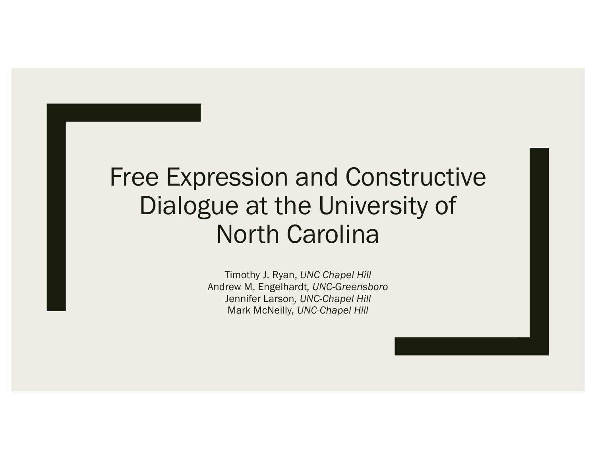## Free Expression and Constructive Dialogue at the University of North Carolina

Timothy J. Ryan, *UNC Chapel Hill* Andrew M. Engelhardt*, UNC-Greensboro* Jennifer Larson*, UNC-Chapel Hill* Mark McNeilly*, UNC-Chapel Hill*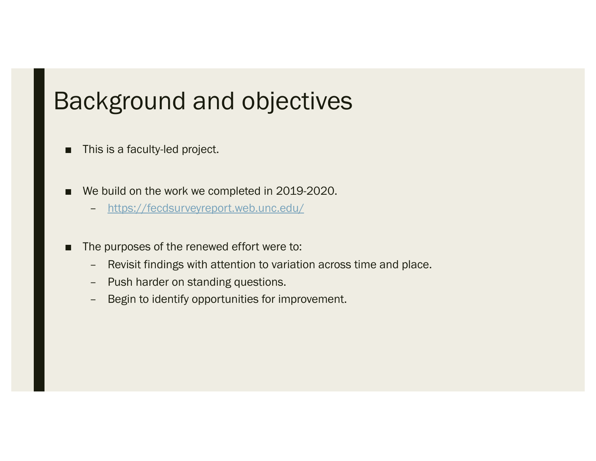## Background and objectives

- This is a faculty-led project.
- We build on the work we completed in 2019-2020.
	- [https://fecdsurveyreport.web.unc.edu](https://fecdsurveyreport.web.unc.edu/)/
- The purposes of the renewed effort were to:
	- Revisit findings with attention to variation across time and place.
	- Push harder on standing questions.
	- Begin to identify opportunities for improvement.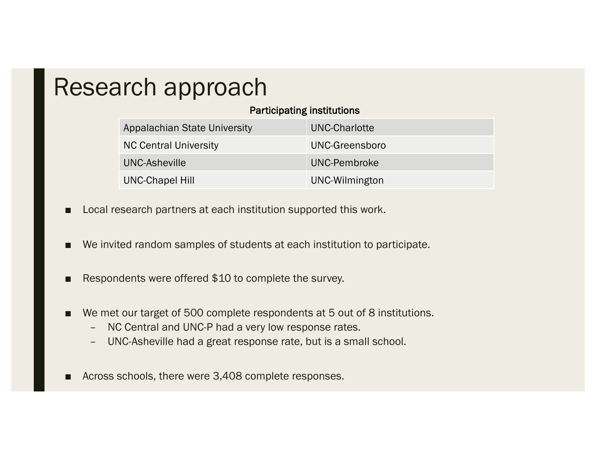## Research approach

### Participating institutions

| Appalachian State University | UNC-Charlotte  |
|------------------------------|----------------|
| <b>NC Central University</b> | UNC-Greensboro |
| UNC-Asheville                | UNC-Pembroke   |
| <b>UNC-Chapel Hill</b>       | UNC-Wilmington |

- Local research partners at each institution supported this work.
- We invited random samples of students at each institution to participate.
- Respondents were offered \$10 to complete the survey.
- We met our target of 500 complete respondents at 5 out of 8 institutions.
	- NC Central and UNC-P had a very low response rates.
	- UNC-Asheville had a great response rate, but is a small school.
- Across schools, there were 3,408 complete responses.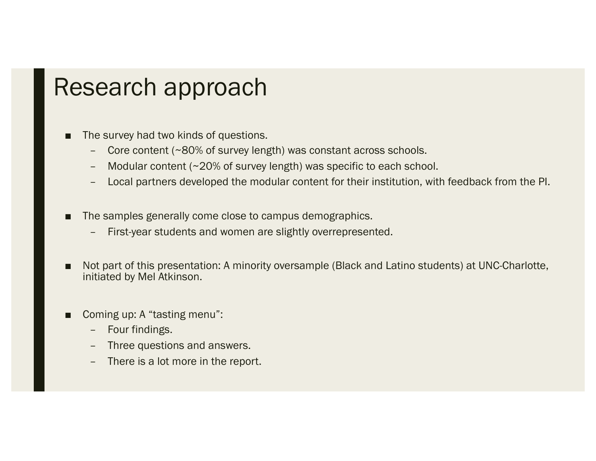## Research approach

The survey had two kinds of questions.

- Core content (~80% of survey length) was constant across schools.
- Modular content (~20% of survey length) was specific to each school.
- Local partners developed the modular content for their institution, with feedback from the PI.
- The samples generally come close to campus demographics.
	- First-year students and women are slightly overrepresented.
- Not part of this presentation: A minority oversample (Black and Latino students) at UNC-Charlotte, initiated by Mel Atkinson.
- Coming up: A "tasting menu":
	- Four findings.
	- Three questions and answers.
	- There is a lot more in the report.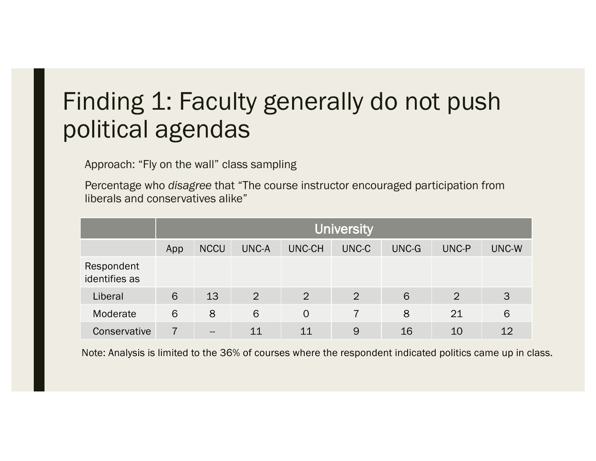# Finding 1: Faculty generally do not push political agendas

Approach: "Fly on the wall" class sampling

Percentage who *disagree* that "The course instructor encouraged participation from liberals and conservatives alike"

|                             | <b>University</b> |             |                |                |       |       |                |       |
|-----------------------------|-------------------|-------------|----------------|----------------|-------|-------|----------------|-------|
|                             | App               | <b>NCCU</b> | <b>UNC-A</b>   | UNC-CH         | UNC-C | UNC-G | UNC-P          | UNC-W |
| Respondent<br>identifies as |                   |             |                |                |       |       |                |       |
| Liberal                     | 6                 | 13          | $\overline{2}$ | $\overline{2}$ | 2     | 6     | $\overline{2}$ | 3     |
| Moderate                    | 6                 | 8           | 6              | $\Omega$       |       | 8     | 21             | 6     |
| Conservative                |                   | $- -$       | 11             | 11             | 9     | 16    | 10             | 12    |

Note: Analysis is limited to the 36% of courses where the respondent indicated politics came up in class.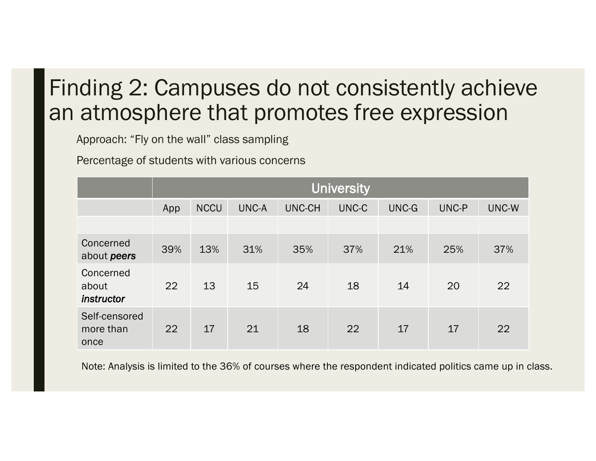## Finding 2: Campuses do not consistently achieve an atmosphere that promotes free expression

Approach: "Fly on the wall" class sampling

Percentage of students with various concerns

|                                    | University |             |       |               |       |       |       |       |
|------------------------------------|------------|-------------|-------|---------------|-------|-------|-------|-------|
|                                    | App        | <b>NCCU</b> | UNC-A | <b>UNC-CH</b> | UNC-C | UNC-G | UNC-P | UNC-W |
|                                    |            |             |       |               |       |       |       |       |
| Concerned<br>about peers           | 39%        | 13%         | 31%   | 35%           | 37%   | 21%   | 25%   | 37%   |
| Concerned<br>about<br>instructor   | 22         | 13          | 15    | 24            | 18    | 14    | 20    | 22    |
| Self-censored<br>more than<br>once | 22         | 17          | 21    | 18            | 22    | 17    | 17    | 22    |

Note: Analysis is limited to the 36% of courses where the respondent indicated politics came up in class.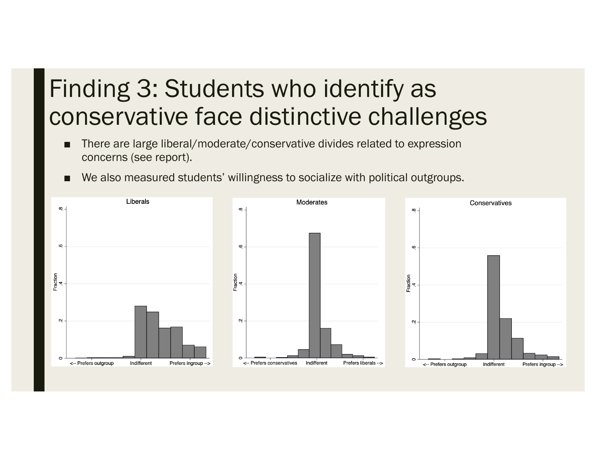# Finding 3: Students who identify as conservative face distinctive challenges

- There are large liberal/moderate/conservative divides related to expression concerns (see report).
- We also measured students' willingness to socialize with political outgroups.

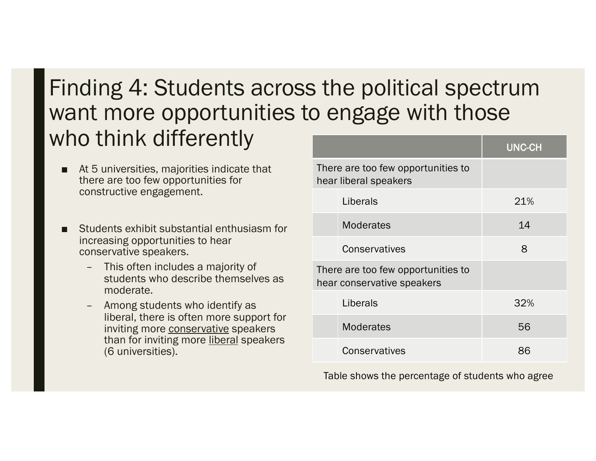## Finding 4: Students across the political spectrum want more opportunities to engage with those who think differently

- At 5 universities, majorities indicate that there are too few opportunities for constructive engagement.
- Students exhibit substantial enthusiasm for increasing opportunities to hear conservative speakers.
	- This often includes a majority of students who describe themselves as moderate.
	- Among students who identify as liberal, there is often more support for inviting more conservative speakers than for inviting more liberal speakers (6 universities).

|                                                                  | <b>UNC-CH</b> |
|------------------------------------------------------------------|---------------|
| There are too few opportunities to<br>hear liberal speakers      |               |
| Liberals                                                         | 21%           |
| <b>Moderates</b>                                                 | 14            |
| Conservatives                                                    | 8             |
| There are too few opportunities to<br>hear conservative speakers |               |
| Liberals                                                         | 32%           |
| <b>Moderates</b>                                                 | 56            |
| Conservatives                                                    | 86            |

Table shows the percentage of students who agree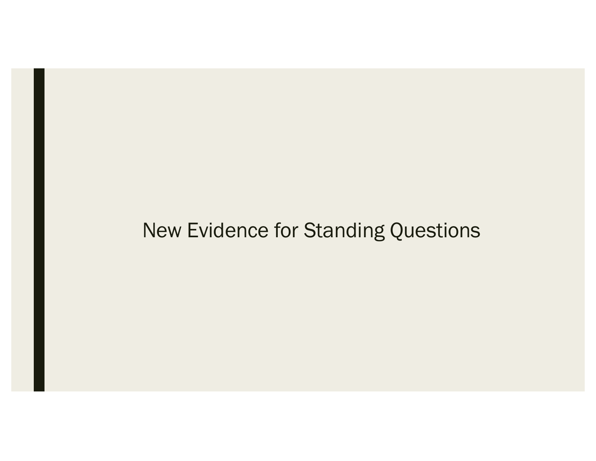## New Evidence for Standing Questions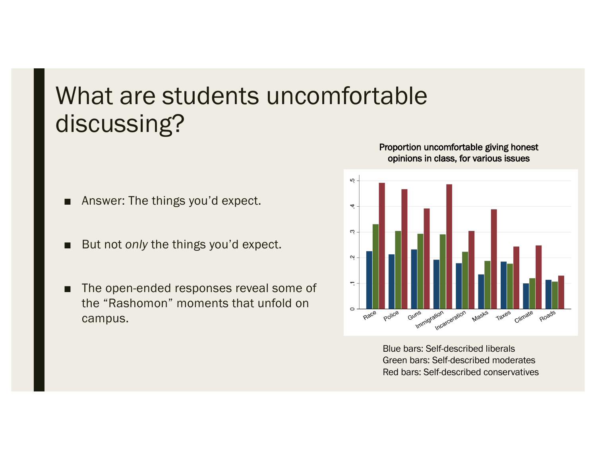## What are students uncomfortable discussing?

- Answer: The things you'd expect.
- But not *only* the things you'd expect.
- The open-ended responses reveal some of the "Rashomon" moments that unfold on campus.

### Proportion uncomfortable giving honest opinions in class, for various issues



Blue bars: Self-described liberals Green bars: Self-described moderates Red bars: Self-described conservatives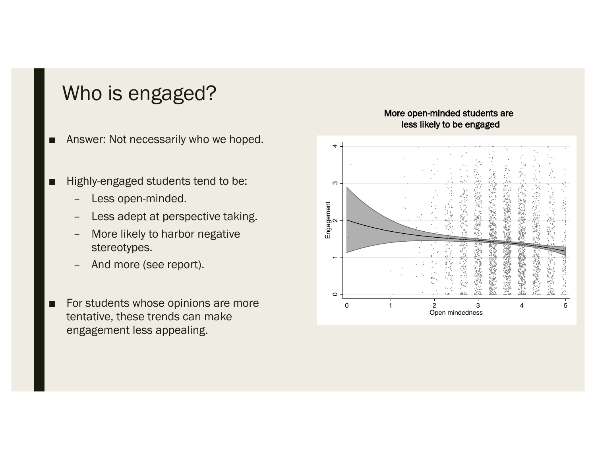## Who is engaged?

- Answer: Not necessarily who we hoped.
- Highly-engaged students tend to be:
	- Less open-minded.
	- Less adept at perspective taking.
	- More likely to harbor negative stereotypes.
	- And more (see report).
- For students whose opinions are more tentative, these trends can make engagement less appealing.



#### More open-minded students are less likely to be engaged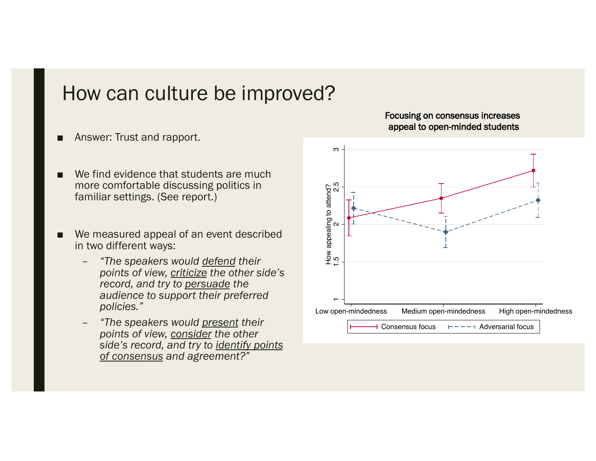### How can culture be improved?

- Answer: Trust and rapport.
- We find evidence that students are much more comfortable discussing politics in familiar settings. (See report.)
- We measured appeal of an event described in two different ways:
	- *"The speakers would defend their points of view, criticize the other side's record, and try to persuade the audience to support their preferred policies."*
	- *"The speakers would present their points of view, consider the other side's record, and try to identify points of consensus and agreement?"*

### Focusing on consensus increases appeal to open-minded students

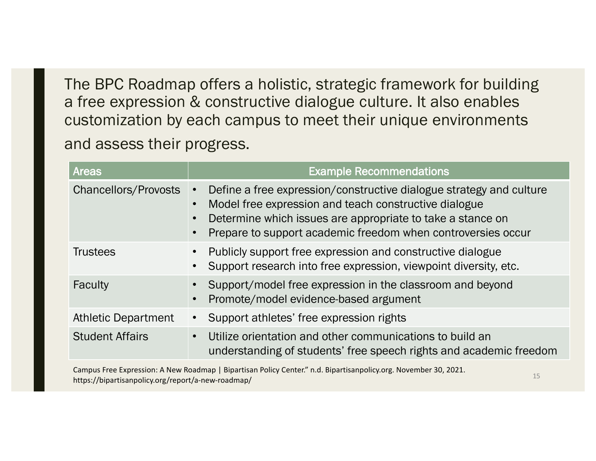The BPC Roadmap offers a holistic, strategic framework for building a free expression & constructive dialogue culture. It also enables customization by each campus to meet their unique environments and assess their progress.

| <b>Areas</b>                | <b>Example Recommendations</b>                                                                                                                                                                                                                                          |
|-----------------------------|-------------------------------------------------------------------------------------------------------------------------------------------------------------------------------------------------------------------------------------------------------------------------|
| <b>Chancellors/Provosts</b> | Define a free expression/constructive dialogue strategy and culture<br>$\bullet$<br>Model free expression and teach constructive dialogue<br>Determine which issues are appropriate to take a stance on<br>Prepare to support academic freedom when controversies occur |
| <b>Trustees</b>             | Publicly support free expression and constructive dialogue<br>Support research into free expression, viewpoint diversity, etc.                                                                                                                                          |
| Faculty                     | Support/model free expression in the classroom and beyond<br>Promote/model evidence-based argument                                                                                                                                                                      |
| <b>Athletic Department</b>  | Support athletes' free expression rights                                                                                                                                                                                                                                |
| <b>Student Affairs</b>      | Utilize orientation and other communications to build an<br>$\bullet$<br>understanding of students' free speech rights and academic freedom                                                                                                                             |

Campus Free Expression: A New Roadmap | Bipartisan Policy Center." n.d. Bipartisanpolicy.org. November 30, 2021. https://bipartisanpolicy.org/report/a-new-roadmap/